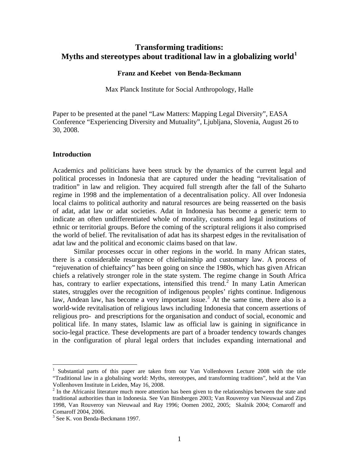# **Transforming traditions: Myths and stereotypes about traditional law in a globalizing world[1](#page-0-0)**

# **Franz and Keebet von Benda-Beckmann**

Max Planck Institute for Social Anthropology, Halle

Paper to be presented at the panel "Law Matters: Mapping Legal Diversity", EASA Conference "Experiencing Diversity and Mutuality", Ljubljana, Slovenia, August 26 to 30, 2008.

# **Introduction**

Academics and politicians have been struck by the dynamics of the current legal and political processes in Indonesia that are captured under the heading "revitalisation of tradition" in law and religion. They acquired full strength after the fall of the Suharto regime in 1998 and the implementation of a decentralisation policy. All over Indonesia local claims to political authority and natural resources are being reasserted on the basis of adat, adat law or adat societies. Adat in Indonesia has become a generic term to indicate an often undifferentiated whole of morality, customs and legal institutions of ethnic or territorial groups. Before the coming of the scriptural religions it also comprised the world of belief. The revitalisation of adat has its sharpest edges in the revitalisation of adat law and the political and economic claims based on that law.

 Similar processes occur in other regions in the world. In many African states, there is a considerable resurgence of chieftainship and customary law. A process of "rejuvenation of chieftaincy" has been going on since the 1980s, which has given African chiefs a relatively stronger role in the state system. The regime change in South Africa has, contrary to earlier expectations, intensified this trend.<sup>[2](#page-0-1)</sup> In many Latin American states, struggles over the recognition of indigenous peoples' rights continue. Indigenous law, Andean law, has become a very important issue.<sup>[3](#page-0-2)</sup> At the same time, there also is a world-wide revitalisation of religious laws including Indonesia that concern assertions of religious pro- and prescriptions for the organisation and conduct of social, economic and political life. In many states, Islamic law as official law is gaining in significance in socio-legal practice. These developments are part of a broader tendency towards changes in the configuration of plural legal orders that includes expanding international and

<span id="page-0-0"></span><sup>1</sup> Substantial parts of this paper are taken from our Van Vollenhoven Lecture 2008 with the title "Traditional law in a globalising world: Myths, stereotypes, and transforming traditions", held at the Van Vollenhoven Institute in Leiden, May 16, 2008.

<span id="page-0-1"></span> $2<sup>2</sup>$  In the Africanist literature much more attention has been given to the relationships between the state and traditional authorities than in Indonesia. See Van Binsbergen 2003; Van Rouveroy van Nieuwaal and Zips 1998, Van Rouveroy van Nieuwaal and Ray 1996; Oomen 2002, 2005; Skalnik 2004; Comaroff and Comaroff 2004, 2006.

<span id="page-0-2"></span><sup>3</sup> See K. von Benda-Beckmann 1997.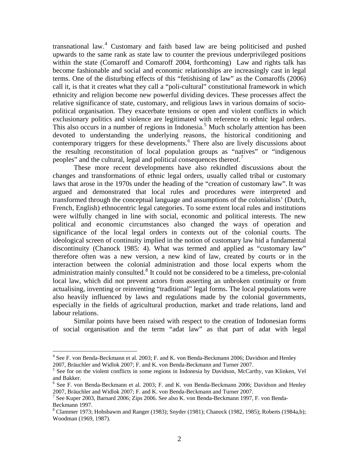transnational law.<sup>[4](#page-1-0)</sup> Customary and faith based law are being politicised and pushed upwards to the same rank as state law to counter the previous underprivileged positions within the state (Comaroff and Comaroff 2004, forthcoming) Law and rights talk has become fashionable and social and economic relationships are increasingly cast in legal terms. One of the disturbing effects of this "fetishising of law" as the Comaroffs (2006) call it, is that it creates what they call a "poli-cultural" constitutional framework in which ethnicity and religion become new powerful dividing devices. These processes affect the relative significance of state, customary, and religious laws in various domains of sociopolitical organisation. They exacerbate tensions or open and violent conflicts in which exclusionary politics and violence are legitimated with reference to ethnic legal orders. This also occurs in a number of regions in Indonesia.<sup>[5](#page-1-1)</sup> Much scholarly attention has been devoted to understanding the underlying reasons, the historical conditioning and contemporary triggers for these developments.<sup>[6](#page-1-2)</sup> There also are lively discussions about the resulting reconstitution of local population groups as "natives" or "indigenous peoples" and the cultural, legal and political consequences thereof.

 These more recent developments have also rekindled discussions about the changes and transformations of ethnic legal orders, usually called tribal or customary laws that arose in the 1970s under the heading of the "creation of customary law". It was argued and demonstrated that local rules and procedures were interpreted and transformed through the conceptual language and assumptions of the colonialists' (Dutch, French, English) ethnocentric legal categories. To some extent local rules and institutions were wilfully changed in line with social, economic and political interests. The new political and economic circumstances also changed the ways of operation and significance of the local legal orders in contexts out of the colonial courts. The ideological screen of continuity implied in the notion of customary law hid a fundamental discontinuity (Chanock 1985: 4). What was termed and applied as "customary law" therefore often was a new version, a new kind of law, created by courts or in the interaction between the colonial administration and those local experts whom the administration mainly consulted. $8$  It could not be considered to be a timeless, pre-colonial local law, which did not prevent actors from asserting an unbroken continuity or from actualising, inventing or reinventing "traditional" legal forms. The local populations were also heavily influenced by laws and regulations made by the colonial governments, especially in the fields of agricultural production, market and trade relations, land and labour relations.

 Similar points have been raised with respect to the creation of Indonesian forms of social organisation and the term "adat law" as that part of adat with legal

<span id="page-1-0"></span><sup>&</sup>lt;sup>4</sup> See F. von Benda-Beckmann et al. 2003; F. and K. von Benda-Beckmann 2006; Davidson and Henley 2007, Bräuchler and Widlok 2007; F. and K. von Benda-Beckmann and Turner 2007.

<span id="page-1-1"></span><sup>&</sup>lt;sup>5</sup> See for on the violent conflicts in some regions in Indonesia by Davidson, McCarthy, van Klinken, Vel and Bakker.

<span id="page-1-2"></span><sup>&</sup>lt;sup>6</sup> See F. von Benda-Beckmann et al. 2003; F. and K. von Benda-Beckmann 2006; Davidson and Henley 2007, Bräuchler and Widlok 2007; F. and K. von Benda-Beckmann and Turner 2007.

<span id="page-1-3"></span><sup>&</sup>lt;sup>7</sup> See Kuper 2003, Barnard 2006; Zips 2006. See also K. von Benda-Beckmann 1997, F. von Benda-Beckmann 1997.

<span id="page-1-4"></span> $8$  Clammer 1973; Hobsbawm and Ranger (1983); Snyder (1981); Chanock (1982, 1985); Roberts (1984a,b); Woodman (1969, 1987).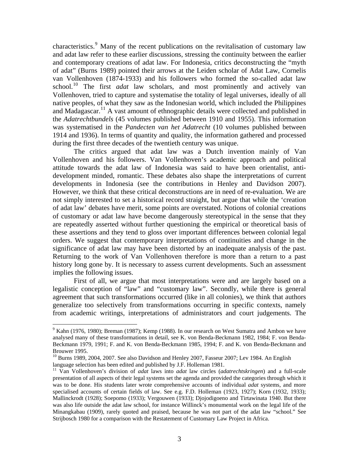characteristics.<sup>[9](#page-2-0)</sup> Many of the recent publications on the revitalisation of customary law and adat law refer to these earlier discussions, stressing the continuity between the earlier and contemporary creations of adat law. For Indonesia, critics deconstructing the "myth of adat" (Burns 1989) pointed their arrows at the Leiden scholar of Adat Law, Cornelis van Vollenhoven (1874-1933) and his followers who formed the so-called adat law school.[10](#page-2-1) The first *adat* law scholars, and most prominently and actively van Vollenhoven, tried to capture and systematise the totality of legal universes, ideally of all native peoples, of what they saw as the Indonesian world, which included the Philippines and Madagascar.<sup>[11](#page-2-2)</sup> A vast amount of ethnographic details were collected and published in the *Adatrechtbundels* (45 volumes published between 1910 and 1955). This information was systematised in the *Pandecten van het Adatrecht* (10 volumes published between 1914 and 1936). In terms of quantity and quality, the information gathered and processed during the first three decades of the twentieth century was unique.

 The critics argued that adat law was a Dutch invention mainly of Van Vollenhoven and his followers. Van Vollenhoven's academic approach and political attitude towards the adat law of Indonesia was said to have been orientalist, antidevelopment minded, romantic. These debates also shape the interpretations of current developments in Indonesia (see the contributions in Henley and Davidson 2007). However, we think that these critical deconstructions are in need of re-evaluation. We are not simply interested to set a historical record straight, but argue that while the 'creation of adat law' debates have merit, some points are overstated. Notions of colonial creations of customary or adat law have become dangerously stereotypical in the sense that they are repeatedly asserted without further questioning the empirical or theoretical basis of these assertions and they tend to gloss over important differences between colonial legal orders. We suggest that contemporary interpretations of continuities and change in the significance of adat law may have been distorted by an inadequate analysis of the past. Returning to the work of Van Vollenhoven therefore is more than a return to a past history long gone by. It is necessary to assess current developments. Such an assessment implies the following issues.

 First of all, we argue that most interpretations were and are largely based on a legalistic conception of "law" and "customary law". Secondly, while there is general agreement that such transformations occurred (like in all colonies), we think that authors generalize too selectively from transformations occurring in specific contexts, namely from academic writings, interpretations of administrators and court judgements. The

<span id="page-2-0"></span> $9$  Kahn (1976, 1980); Breman (1987); Kemp (1988). In our research on West Sumatra and Ambon we have analysed many of these transformations in detail, see K. von Benda-Beckmann 1982, 1984; F. von Benda-Beckmann 1979, 1991; F. and K. von Benda-Beckmann 1985, 1994; F. and K. von Benda-Beckmann and Brouwer 1995.

<span id="page-2-1"></span><sup>&</sup>lt;sup>10</sup> Burns 1989, 2004, 2007. See also Davidson and Henley 2007, Fasseur 2007; Lev 1984. An English language selection has been edited and published by J.F. Holleman 1981.

<span id="page-2-2"></span><sup>11</sup> Van Vollenhoven's division of *adat* laws into *adat* law circles (*adatrechtskringen*) and a full-scale presentation of all aspects of their legal systems set the agenda and provided the categories through which it was to be done. His students later wrote comprehensive accounts of individual *adat* systems, and more specialised accounts of certain fields of law. See e.g. F.D. Holleman (1923, 1927); Korn (1932, 1933); Mallinckrodt (1928); Soepomo (1933); Vergouwen (1933); Djojodigoeno and Tirtawinata 1940. But there was also life outside the adat law school, for instance Willinck's monumental work on the legal life of the Minangkabau (1909), rarely quoted and praised, because he was not part of the adat law "school." See Strijbosch 1980 for a comparison with the Restatement of Customary Law Project in Africa.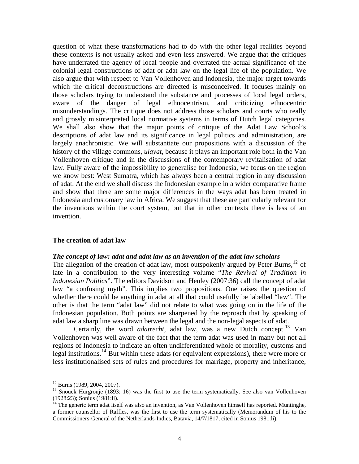question of what these transformations had to do with the other legal realities beyond these contexts is not usually asked and even less answered. We argue that the critiques have underrated the agency of local people and overrated the actual significance of the colonial legal constructions of adat or adat law on the legal life of the population. We also argue that with respect to Van Vollenhoven and Indonesia, the major target towards which the critical deconstructions are directed is misconceived. It focuses mainly on those scholars trying to understand the substance and processes of local legal orders, aware of the danger of legal ethnocentrism, and criticizing ethnocentric misunderstandings. The critique does not address those scholars and courts who really and grossly misinterpreted local normative systems in terms of Dutch legal categories. We shall also show that the major points of critique of the Adat Law School's descriptions of adat law and its significance in legal politics and administration, are largely anachronistic. We will substantiate our propositions with a discussion of the history of the village commons, *ulayat*, because it plays an important role both in the Van Vollenhoven critique and in the discussions of the contemporary revitalisation of adat law. Fully aware of the impossibility to generalise for Indonesia, we focus on the region we know best: West Sumatra, which has always been a central region in any discussion of adat. At the end we shall discuss the Indonesian example in a wider comparative frame and show that there are some major differences in the ways adat has been treated in Indonesia and customary law in Africa. We suggest that these are particularly relevant for the inventions within the court system, but that in other contexts there is less of an invention.

#### **The creation of adat law**

# *The concept of law: adat and adat law as an invention of the adat law scholars*

The allegation of the creation of adat law, most outspokenly argued by Peter Burns,  $^{12}$  $^{12}$  $^{12}$  of late in a contribution to the very interesting volume "*The Revival of Tradition in Indonesian Politics*". The editors Davidson and Henley (2007:36) call the concept of adat law "a confusing myth". This implies two propositions. One raises the question of whether there could be anything in adat at all that could usefully be labelled "law". The other is that the term "adat law" did not relate to what was going on in the life of the Indonesian population. Both points are sharpened by the reproach that by speaking of adat law a sharp line was drawn between the legal and the non-legal aspects of adat.

Certainly, the word *adatrecht*, adat law, was a new Dutch concept.<sup>[13](#page-3-1)</sup> Van Vollenhoven was well aware of the fact that the term adat was used in many but not all regions of Indonesia to indicate an often undifferentiated whole of morality, customs and legal institutions.<sup>[14](#page-3-2)</sup> But within these adats (or equivalent expressions), there were more or less institutionalised sets of rules and procedures for marriage, property and inheritance,

 $12$  Burns (1989, 2004, 2007).

<span id="page-3-1"></span><span id="page-3-0"></span><sup>&</sup>lt;sup>13</sup> Snouck Hurgronje (1893: 16) was the first to use the term systematically. See also van Vollenhoven (1928:23); Sonius (1981:li).

<span id="page-3-2"></span><sup>&</sup>lt;sup>14</sup> The generic term adat itself was also an invention, as Van Vollenhoven himself has reported. Muntinghe, a former counsellor of Raffles, was the first to use the term systematically (Memorandum of his to the Commissioners-General of the Netherlands-Indies, Batavia, 14/7/1817, cited in Sonius 1981:li).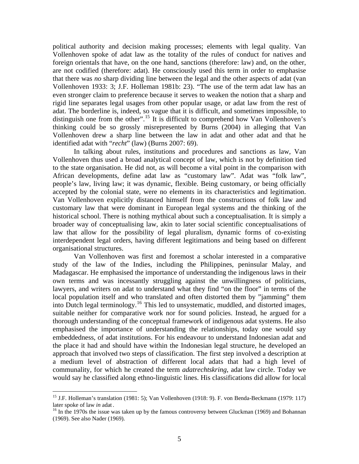political authority and decision making processes; elements with legal quality. Van Vollenhoven spoke of adat law as the totality of the rules of conduct for natives and foreign orientals that have, on the one hand, sanctions (therefore: law) and, on the other, are not codified (therefore: adat). He consciously used this term in order to emphasise that there was *no* sharp dividing line between the legal and the other aspects of adat (van Vollenhoven 1933: 3; J.F. Holleman 1981b: 23). "The use of the term adat law has an even stronger claim to preference because it serves to weaken the notion that a sharp and rigid line separates legal usages from other popular usage, or adat law from the rest of adat. The borderline is, indeed, so vague that it is difficult, and sometimes impossible, to distinguish one from the other".<sup>[15](#page-4-0)</sup> It is difficult to comprehend how Van Vollenhoven's thinking could be so grossly misrepresented by Burns (2004) in alleging that Van Vollenhoven drew a sharp line between the law in adat and other adat and that he identified adat with "*recht*" (law) (Burns 2007: 69).

In talking about rules, institutions and procedures and sanctions as law, Van Vollenhoven thus used a broad analytical concept of law, which is not by definition tied to the state organisation. He did not, as will become a vital point in the comparison with African developments, define adat law as "customary law". Adat was "folk law", people's law, living law; it was dynamic, flexible. Being customary, or being officially accepted by the colonial state, were no elements in its characteristics and legitimation. Van Vollenhoven explicitly distanced himself from the constructions of folk law and customary law that were dominant in European legal systems and the thinking of the historical school. There is nothing mythical about such a conceptualisation. It is simply a broader way of conceptualising law, akin to later social scientific conceptualisations of law that allow for the possibility of legal pluralism, dynamic forms of co-existing interdependent legal orders, having different legitimations and being based on different organisational structures.

Van Vollenhoven was first and foremost a scholar interested in a comparative study of the law of the Indies, including the Philippines, peninsular Malay, and Madagascar. He emphasised the importance of understanding the indigenous laws in their own terms and was incessantly struggling against the unwillingness of politicians, lawyers, and writers on adat to understand what they find "on the floor" in terms of the local population itself and who translated and often distorted them by "jamming" them into Dutch legal terminology.[16](#page-4-1) This led to unsystematic, muddled, and distorted images, suitable neither for comparative work nor for sound policies. Instead, he argued for a thorough understanding of the conceptual framework of indigenous adat systems. He also emphasised the importance of understanding the relationships, today one would say embeddedness, of adat institutions. For his endeavour to understand Indonesian adat and the place it had and should have within the Indonesian legal structure, he developed an approach that involved two steps of classification. The first step involved a description at a medium level of abstraction of different local adats that had a high level of communality, for which he created the term *adatrechtskring*, adat law circle. Today we would say he classified along ethno-linguistic lines. His classifications did allow for local

<span id="page-4-0"></span><sup>15</sup> J.F. Holleman's translation (1981: 5); Van Vollenhoven (1918: 9). F. von Benda-Beckmann (1979: 117) later spoke of law *in* adat .<br><sup>16</sup> In the 1970s the issue was taken up by the famous controversy between Gluckman (1969) and Bohannan

<span id="page-4-1"></span><sup>(1969).</sup> See also Nader (1969).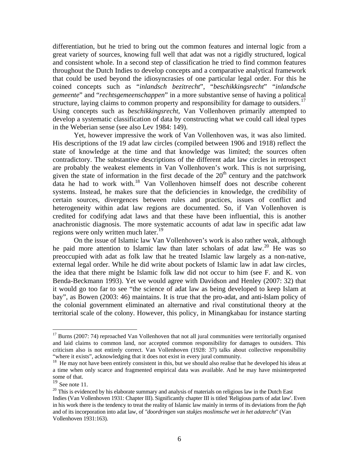differentiation, but he tried to bring out the common features and internal logic from a great variety of sources, knowing full well that adat was not a rigidly structured, logical and consistent whole. In a second step of classification he tried to find common features throughout the Dutch Indies to develop concepts and a comparative analytical framework that could be used beyond the idiosyncrasies of one particular legal order. For this he coined concepts such as "*inlandsch bezitrecht*", "*beschikkingsrecht*" "*inlandsche gemeente*" and "*rechtsgemeenschappen*" in a more substantive sense of having a political structure, laying claims to common property and responsibility for damage to outsiders.<sup>[17](#page-5-0)</sup> Using concepts such as *beschikkingsrecht*, Van Vollenhoven primarily attempted to develop a systematic classification of data by constructing what we could call ideal types in the Weberian sense (see also Lev 1984: 149).

Yet, however impressive the work of Van Vollenhoven was, it was also limited. His descriptions of the 19 adat law circles (compiled between 1906 and 1918) reflect the state of knowledge at the time and that knowledge was limited; the sources often contradictory. The substantive descriptions of the different adat law circles in retrospect are probably the weakest elements in Van Vollenhoven's work. This is not surprising, given the state of information in the first decade of the  $20<sup>th</sup>$  century and the patchwork data he had to work with.[18](#page-5-1) Van Vollenhoven himself does not describe coherent systems. Instead, he makes sure that the deficiencies in knowledge, the credibility of certain sources, divergences between rules and practices, issues of conflict and heterogeneity within adat law regions are documented. So, if Van Vollenhoven is credited for codifying adat laws and that these have been influential, this is another anachronistic diagnosis. The more systematic accounts of adat law in specific adat law regions were only written much later.<sup>[19](#page-5-2)</sup>

On the issue of Islamic law Van Vollenhoven's work is also rather weak, although he paid more attention to Islamic law than later scholars of adat law.<sup>[20](#page-5-3)</sup> He was so preoccupied with adat as folk law that he treated Islamic law largely as a non-native, external legal order. While he did write about pockets of Islamic law in adat law circles, the idea that there might be Islamic folk law did not occur to him (see F. and K. von Benda-Beckmann 1993). Yet we would agree with Davidson and Henley (2007: 32) that it would go too far to see "the science of adat law as being developed to keep Islam at bay", as Bowen (2003: 46) maintains. It is true that the pro-adat, and anti-Islam policy of the colonial government eliminated an alternative and rival constitutional theory at the territorial scale of the colony. However, this policy, in Minangkabau for instance starting

<span id="page-5-0"></span> $17$  Burns (2007: 74) reproached Van Vollenhoven that not all jural communities were territorially organised and laid claims to common land, nor accepted common responsibility for damages to outsiders. This criticism also is not entirely correct. Van Vollenhoven (1928: 37) talks about collective responsibility "where it exists", acknowledging that it does not exist in every jural community. 18 He may not have been entirely consistent in this, but we should also realise that he developed his ideas at

<span id="page-5-1"></span>a time when only scarce and fragmented empirical data was available. And he may have misinterpreted some of that.

<span id="page-5-2"></span> $19$  See note 11.

<span id="page-5-3"></span><sup>&</sup>lt;sup>20</sup> This is evidenced by his elaborate summary and analysis of materials on religious law in the Dutch East Indies (Van Vollenhoven 1931: Chapter III). Significantly chapter III is titled 'Religious parts of adat law'. Even in his work there is the tendency to treat the reality of Islamic law mainly in terms of its deviations from the *fiqh* and of its incorporation into adat law, of *"doordringen van stukjes moslimsche wet in het adatrecht*" (Van Vollenhoven 1931:163).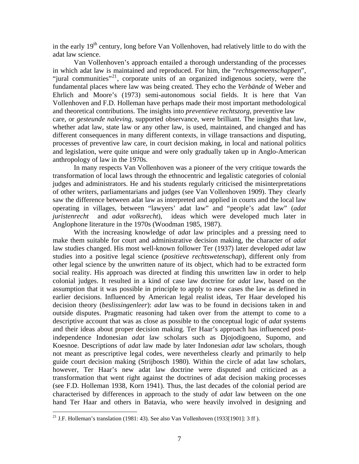in the early  $19<sup>th</sup>$  century, long before Van Vollenhoven, had relatively little to do with the adat law science.

Van Vollenhoven's approach entailed a thorough understanding of the processes in which adat law is maintained and reproduced. For him, the "*rechtsgemeenschappen*", "jural communities"[21](#page-6-0), corporate units of an organized indigenous society, were the fundamental places where law was being created. They echo the *Verbände* of Weber and Ehrlich and Moore's (1973) semi-autonomous social fields. It is here that Van Vollenhoven and F.D. Holleman have perhaps made their most important methodological and theoretical contributions. The insights into *preventieve rechtszorg*, preventive law care, or *gesteunde naleving*, supported observance, were brilliant. The insights that law, whether adat law, state law or any other law, is used, maintained, and changed and has different consequences in many different contexts, in village transactions and disputing, processes of preventive law care, in court decision making, in local and national politics and legislation, were quite unique and were only gradually taken up in Anglo-American anthropology of law in the 1970s.

In many respects Van Vollenhoven was a pioneer of the very critique towards the transformation of local laws through the ethnocentric and legalistic categories of colonial judges and administrators. He and his students regularly criticised the misinterpretations of other writers, parliamentarians and judges (see Van Vollenhoven 1909). They clearly saw the difference between adat law as interpreted and applied in courts and the local law operating in villages, between "lawyers' adat law" and "people's adat law" (*adat juristenrecht* and *adat volksrecht*), ideas which were developed much later in Anglophone literature in the 1970s (Woodman 1985, 1987).

With the increasing knowledge of *adat* law principles and a pressing need to make them suitable for court and administrative decision making, the character of *adat* law studies changed. His most well-known follower Ter (1937) later developed *adat* law studies into a positive legal science (*positieve rechtswetenschap*), different only from other legal science by the unwritten nature of its object, which had to be extracted form social reality. His approach was directed at finding this unwritten law in order to help colonial judges. It resulted in a kind of case law doctrine for *adat* law, based on the assumption that it was possible in principle to apply to new cases the law as defined in earlier decisions. Influenced by American legal realist ideas, Ter Haar developed his decision theory (*beslissingenleer*): *adat* law was to be found in decisions taken in and outside disputes. Pragmatic reasoning had taken over from the attempt to come to a descriptive account that was as close as possible to the conceptual logic of *adat* systems and their ideas about proper decision making. Ter Haar's approach has influenced postindependence Indonesian *adat* law scholars such as Djojodigoeno, Supomo, and Koesnoe. Descriptions of *adat* law made by later Indonesian *adat* law scholars, though not meant as prescriptive legal codes, were nevertheless clearly and primarily to help guide court decision making (Strijbosch 1980). Within the circle of adat law scholars, however, Ter Haar's new adat law doctrine were disputed and criticized as a transformation that went right against the doctrines of adat decision making processes (see F.D. Holleman 1938, Korn 1941). Thus, the last decades of the colonial period are characterised by differences in approach to the study of *adat* law between on the one hand Ter Haar and others in Batavia, who were heavily involved in designing and

<span id="page-6-0"></span><sup>&</sup>lt;sup>21</sup> J.F. Holleman's translation (1981: 43). See also Van Vollenhoven (1933[1901]: 3 ff ).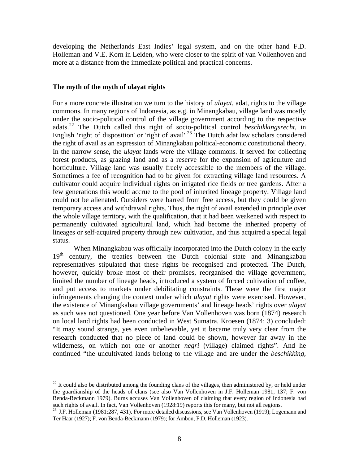developing the Netherlands East Indies' legal system, and on the other hand F.D. Holleman and V.E. Korn in Leiden, who were closer to the spirit of van Vollenhoven and more at a distance from the immediate political and practical concerns.

# **The myth of the myth of ulayat rights**

 $\overline{a}$ 

For a more concrete illustration we turn to the history of *ulayat*, adat, rights to the village commons. In many regions of Indonesia, as e.g. in Minangkabau, village land was mostly under the socio-political control of the village government according to the respective adats.[22](#page-7-0) The Dutch called this right of socio-political control *beschikkingsrecht*, in English 'right of disposition' or 'right of avail'.<sup>[23](#page-7-1)</sup> The Dutch adat law scholars considered the right of avail as an expression of Minangkabau political-economic constitutional theory. In the narrow sense, the *ulayat* lands were the village commons. It served for collecting forest products, as grazing land and as a reserve for the expansion of agriculture and horticulture. Village land was usually freely accessible to the members of the village. Sometimes a fee of recognition had to be given for extracting village land resources. A cultivator could acquire individual rights on irrigated rice fields or tree gardens. After a few generations this would accrue to the pool of inherited lineage property. Village land could not be alienated. Outsiders were barred from free access, but they could be given temporary access and withdrawal rights. Thus, the right of avail extended in principle over the whole village territory, with the qualification, that it had been weakened with respect to permanently cultivated agricultural land, which had become the inherited property of lineages or self-acquired property through new cultivation, and thus acquired a special legal status.

When Minangkabau was officially incorporated into the Dutch colony in the early  $19<sup>th</sup>$  century, the treaties between the Dutch colonial state and Minangkabau representatives stipulated that these rights be recognised and protected. The Dutch, however, quickly broke most of their promises, reorganised the village government, limited the number of lineage heads, introduced a system of forced cultivation of coffee, and put access to markets under debilitating constraints. These were the first major infringements changing the context under which *ulayat* rights were exercised. However, the existence of Minangkabau village governments' and lineage heads' rights over *ulayat* as such was not questioned. One year before Van Vollenhoven was born (1874) research on local land rights had been conducted in West Sumatra. Kroesen (1874: 3) concluded: "It may sound strange, yes even unbelievable, yet it became truly very clear from the research conducted that no piece of land could be shown, however far away in the wilderness, on which not one or another *negri* (village) claimed rights". And he continued "the uncultivated lands belong to the village and are under the *beschikking,*

<span id="page-7-0"></span> $^{22}$  It could also be distributed among the founding clans of the villages, then administered by, or held under the guardianship of the heads of clans (see also Van Vollenhoven in J.F. Holleman 1981, 137; F. von Benda-Beckmann 1979). Burns accuses Van Vollenhoven of claiming that every region of Indonesia had such rights of avail. In fact, Van Vollenhoven (1928:19) reports this for many, but not all regions.

<span id="page-7-1"></span><sup>&</sup>lt;sup>23.</sup> J.F. Holleman (1981:287, 431). For more detailed discussions, see Van Vollenhoven (1919); Logemann and Ter Haar (1927); F. von Benda-Beckmann (1979); for Ambon, F.D. Holleman (1923).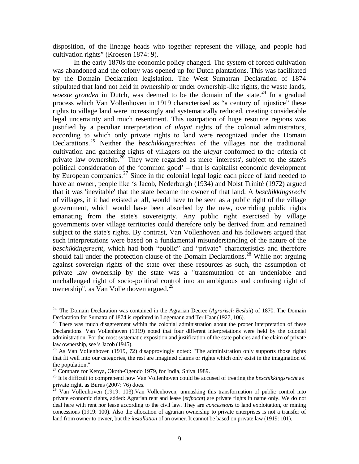disposition, of the lineage heads who together represent the village, and people had cultivation rights" (Kroesen 1874: 9).

In the early 1870s the economic policy changed. The system of forced cultivation was abandoned and the colony was opened up for Dutch plantations. This was facilitated by the Domain Declaration legislation. The West Sumatran Declaration of 1874 stipulated that land not held in ownership or under ownership-like rights, the waste lands, *woeste gronden* in Dutch, was deemed to be the domain of the state.<sup>[24](#page-8-0)</sup> In a gradual process which Van Vollenhoven in 1919 characterised as "a century of injustice" these rights to village land were increasingly and systematically reduced, creating considerable legal uncertainty and much resentment. This usurpation of huge resource regions was justified by a peculiar interpretation of *ulayat* rights of the colonial administrators, according to which only private rights to land were recognized under the Domain Declarations.[25](#page-8-1) Neither the *beschikkingsrechten* of the villages nor the traditional cultivation and gathering rights of villagers on the *ulayat* conformed to the criteria of private law ownership. $26$  They were regarded as mere 'interests', subject to the state's political consideration of the 'common good' – that is capitalist economic development by European companies.<sup>[27](#page-8-3)</sup> Since in the colonial legal logic each piece of land needed to have an owner, people like 's Jacob, Nederburgh (1934) and Nolst Trinité (1972) argued that it was 'inevitable' that the state became the owner of that land. A *beschikkingsrecht* of villages, if it had existed at all, would have to be seen as a public right of the village government, which would have been absorbed by the new, overriding public rights emanating from the state's sovereignty. Any public right exercised by village governments over village territories could therefore only be derived from and remained subject to the state's rights. By contrast, Van Vollenhoven and his followers argued that such interpretations were based on a fundamental misunderstanding of the nature of the *beschikkingsrecht,* which had both "public" and "private" characteristics and therefore should fall under the protection clause of the Domain Declarations.<sup>[28](#page-8-4)</sup> While not arguing against sovereign rights of the state over these resources as such, the assumption of private law ownership by the state was a "transmutation of an undeniable and unchallenged right of socio-political control into an ambiguous and confusing right of ownership", as Van Vollenhoven argued.<sup>[29](#page-8-5)</sup>

<span id="page-8-0"></span><sup>24.</sup> The Domain Declaration was contained in the Agrarian Decree (*Agrarisch Besluit*) of 1870. The Domain Declaration for Sumatra of 1874 is reprinted in Logemann and Ter Haar (1927, 106).

<span id="page-8-1"></span> $25$  There was much disagreement within the colonial administration about the proper interpretation of these Declarations. Van Vollenhoven (1919) noted that four different interpretations were held by the colonial administration. For the most systematic exposition and justification of the state policies and the claim of private law ownership, see 's Jacob (1945).

<span id="page-8-2"></span><sup>&</sup>lt;sup>26</sup> As Van Vollenhoven (1919, 72) disapprovingly noted: "The administration only supports those rights that fit well into our categories, the rest are imagined claims or rights which only exist in the imagination of the population."<br><sup>27</sup> Compare for Kenya, Okoth-Ogendo 1979, for India, Shiva 1989.

<span id="page-8-4"></span><span id="page-8-3"></span><sup>&</sup>lt;sup>28</sup> It is difficult to comprehend how Van Vollenhoven could be accused of treating the *beschikkingsrecht* as private right, as Burns (2007: 76) does.

<span id="page-8-5"></span> $^{29}$  Van Vollenhoven (1919: 103). Van Vollenhoven, unmasking this transformation of public control into private economic rights, added: Agrarian rent and lease (*erfpacht*) are private rights in name only. We do not deal here with rent nor lease according to the civil law. They are *concessions* to land exploitation, or mining concessions (1919: 100). Also the allocation of agrarian ownership to private enterprises is not a transfer of land from owner to owner, but the *installation* of an owner. It cannot be based on private law (1919: 101).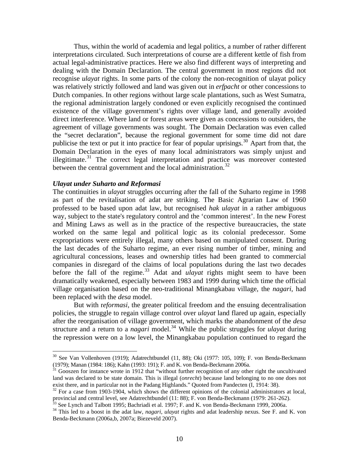Thus, within the world of academia and legal politics, a number of rather different interpretations circulated. Such interpretations of course are a different kettle of fish from actual legal-administrative practices. Here we also find different ways of interpreting and dealing with the Domain Declaration. The central government in most regions did not recognise *ulayat* rights. In some parts of the colony the non-recognition of ulayat policy was relatively strictly followed and land was given out in *erfpacht* or other concessions to Dutch companies. In other regions without large scale plantations, such as West Sumatra, the regional administration largely condoned or even explicitly recognised the continued existence of the village government's rights over village land, and generally avoided direct interference. Where land or forest areas were given as concessions to outsiders, the agreement of village governments was sought. The Domain Declaration was even called the "secret declaration", because the regional government for some time did not dare publicise the text or put it into practice for fear of popular uprisings.<sup>[30](#page-9-0)</sup> Apart from that, the Domain Declaration in the eyes of many local administrators was simply unjust and illegitimate.<sup>[31](#page-9-1)</sup> The correct legal interpretation and practice was moreover contested between the central government and the local administration.<sup>[32](#page-9-2)</sup>

# *Ulayat under Suharto and Reformasi*

 $\overline{a}$ 

The continuities in *ulayat* struggles occurring after the fall of the Suharto regime in 1998 as part of the revitalisation of adat are striking. The Basic Agrarian Law of 1960 professed to be based upon adat law, but recognised *hak ulayat* in a rather ambiguous way, subject to the state's regulatory control and the 'common interest'. In the new Forest and Mining Laws as well as in the practice of the respective bureaucracies, the state worked on the same legal and political logic as its colonial predecessor. Some expropriations were entirely illegal, many others based on manipulated consent. During the last decades of the Suharto regime, an ever rising number of timber, mining and agricultural concessions, leases and ownership titles had been granted to commercial companies in disregard of the claims of local populations during the last two decades before the fall of the regime.<sup>[33](#page-9-3)</sup> Adat and *ulayat* rights might seem to have been dramatically weakened, especially between 1983 and 1999 during which time the official village organisation based on the neo-traditional Minangkabau village, the *nagari*, had been replaced with the *desa* model.

 But with r*eformasi*, the greater political freedom and the ensuing decentralisation policies, the struggle to regain village control over *ulayat* land flared up again, especially after the reorganisation of village government, which marks the abandonment of the *desa* structure and a return to a *nagari* model.<sup>[34](#page-9-4)</sup> While the public struggles for *ulayat* during the repression were on a low level, the Minangkabau population continued to regard the

<span id="page-9-0"></span> $30$  See Van Vollenhoven (1919); Adatrechtbundel (11, 88); Oki (1977: 105, 109); F. von Benda-Beckmann (1979); Manan (1984: 186); Kahn (1993: 191); F. and K. von Benda-Beckmann 2006a.

<span id="page-9-1"></span> $31$  Gooszen for instance wrote in 1912 that "without further recognition of any other right the uncultivated land was declared to be state domain. This is illegal (*onrecht*) because land belonging to no one does not exist there, and in particular not in the Padang Highlands." Quoted from Pandecten (I, 1914: 38).

<span id="page-9-2"></span> $^{32}$  For a case from 1903-1904, which shows the different opinions of the colonial administrators at local, provincial and central level, see Adatrechtbundel (11: 88); F. von Benda-Beckmann (1979: 261-262).

 $33$  See Lynch and Talbott 1995; Bachriadi et al. 1997; F. and K. von Benda-Beckmann 1999, 2006a.

<span id="page-9-4"></span><span id="page-9-3"></span><sup>34</sup> This led to a boost in the adat law*, nagari, ulayat* rights and adat leadership nexus. See F. and K. von Benda-Beckmann (2006a,b, 2007a; Biezeveld 2007).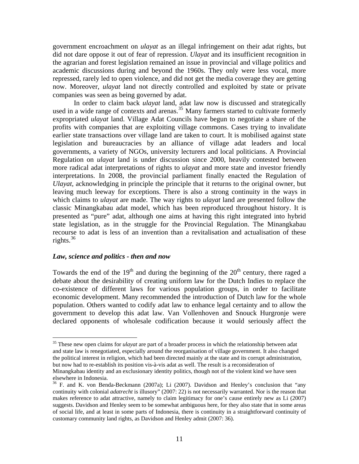government encroachment on *ulayat* as an illegal infringement on their adat rights, but did not dare oppose it out of fear of repression. *Ulayat* and its insufficient recognition in the agrarian and forest legislation remained an issue in provincial and village politics and academic discussions during and beyond the 1960s. They only were less vocal, more repressed, rarely led to open violence, and did not get the media coverage they are getting now. Moreover, *ulayat* land not directly controlled and exploited by state or private companies was seen as being governed by adat.

 In order to claim back *ulayat* land, adat law now is discussed and strategically used in a wide range of contexts and arenas.<sup>[35](#page-10-0)</sup> Many farmers started to cultivate formerly expropriated *ulayat* land. Village Adat Councils have begun to negotiate a share of the profits with companies that are exploiting village commons. Cases trying to invalidate earlier state transactions over village land are taken to court. It is mobilised against state legislation and bureaucracies by an alliance of village adat leaders and local governments, a variety of NGOs, university lecturers and local politicians. A Provincial Regulation on *ulayat* land is under discussion since 2000, heavily contested between more radical adat interpretations of rights to *ulayat* and more state and investor friendly interpretations. In 2008, the provincial parliament finally enacted the Regulation of *Ulayat*, acknowledging in principle the principle that it returns to the original owner, but leaving much leeway for exceptions. There is also a strong continuity in the ways in which claims to *ulayat* are made. The way rights to *ulayat* land are presented follow the classic Minangkabau adat model, which has been reproduced throughout history. It is presented as "pure" adat, although one aims at having this right integrated into hybrid state legislation, as in the struggle for the Provincial Regulation. The Minangkabau recourse to adat is less of an invention than a revitalisation and actualisation of these rights. $36$ 

# *Law, science and politics - then and now*

 $\overline{a}$ 

Towards the end of the  $19<sup>th</sup>$  and during the beginning of the  $20<sup>th</sup>$  century, there raged a debate about the desirability of creating uniform law for the Dutch Indies to replace the co-existence of different laws for various population groups, in order to facilitate economic development. Many recommended the introduction of Dutch law for the whole population. Others wanted to codify adat law to enhance legal certainty and to allow the government to develop this adat law. Van Vollenhoven and Snouck Hurgronje were declared opponents of wholesale codification because it would seriously affect the

<span id="page-10-0"></span><sup>35</sup> These new open claims for *ulayat* are part of a broader process in which the relationship between adat and state law is renegotiated, especially around the reorganisation of village government. It also changed the political interest in religion, which had been directed mainly at the state and its corrupt administration, but now had to re-establish its position vis-à-vis adat as well. The result is a reconsideration of Minangkabau identity and an exclusionary identity politics, though not of the violent kind we have seen elsewhere in Indonesia.

<span id="page-10-1"></span><sup>&</sup>lt;sup>36</sup> F. and K. von Benda-Beckmann (2007a); Li (2007). Davidson and Henley's conclusion that "any continuity with colonial *adatrecht* is illusory" (2007: 22) is not necessarily warranted. Nor is the reason that makes reference to adat attractive, namely to claim legitimacy for one's cause entirely new as Li (2007) suggests. Davidson and Henley seem to be somewhat ambiguous here, for they also state that in some areas of social life, and at least in some parts of Indonesia, there is continuity in a straightforward continuity of customary community land rights, as Davidson and Henley admit (2007: 36).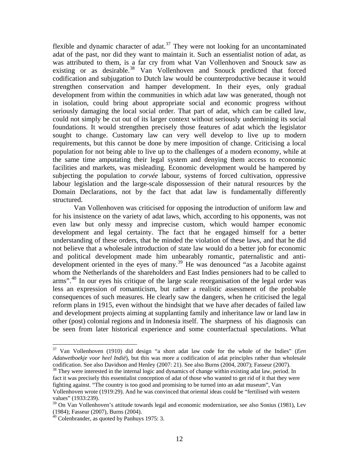flexible and dynamic character of adat.<sup>[37](#page-11-0)</sup> They were not looking for an uncontaminated adat of the past, nor did they want to maintain it. Such an essentialist notion of adat, as was attributed to them, is a far cry from what Van Vollenhoven and Snouck saw as existing or as desirable.<sup>[38](#page-11-1)</sup> Van Vollenhoven and Snouck predicted that forced codification and subjugation to Dutch law would be counterproductive because it would strengthen conservation and hamper development. In their eyes, only gradual development from within the communities in which adat law was generated, though not in isolation, could bring about appropriate social and economic progress without seriously damaging the local social order. That part of adat, which can be called law, could not simply be cut out of its larger context without seriously undermining its social foundations. It would strengthen precisely those features of adat which the legislator sought to change. Customary law can very well develop to live up to modern requirements, but this cannot be done by mere imposition of change. Criticising a local population for not being able to live up to the challenges of a modern economy, while at the same time amputating their legal system and denying them access to economic facilities and markets, was misleading. Economic development would be hampered by subjecting the population to *corvée* labour, systems of forced cultivation, oppressive labour legislation and the large-scale dispossession of their natural resources by the Domain Declarations, not by the fact that adat law is fundamentally differently structured.

 Van Vollenhoven was criticised for opposing the introduction of uniform law and for his insistence on the variety of adat laws, which, according to his opponents, was not even law but only messy and imprecise custom, which would hamper economic development and legal certainty. The fact that he engaged himself for a better understanding of these orders, that he minded the violation of these laws, and that he did not believe that a wholesale introduction of state law would do a better job for economic and political development made him unbearably romantic, paternalistic and anti-development oriented in the eyes of many.<sup>[39](#page-11-2)</sup> He was denounced "as a Jacobite against whom the Netherlands of the shareholders and East Indies pensioners had to be called to arms".[40](#page-11-3) In our eyes his critique of the large scale reorganisation of the legal order was less an expression of romanticism, but rather a realistic assessment of the probable consequences of such measures. He clearly saw the dangers, when he criticised the legal reform plans in 1915, even without the hindsight that we have after decades of failed law and development projects aiming at supplanting family and inheritance law or land law in other (post) colonial regions and in Indonesia itself. The sharpness of his diagnosis can be seen from later historical experience and some counterfactual speculations. What

<span id="page-11-0"></span><sup>37</sup> Van Vollenhoven (1910) did design "a short adat law code for the whole of the Indies" (*Een Adatwetboekje voor heel Indië*), but this was more a codification of adat principles rather than wholesale codification. See also Davidson and Henley (2007: 21). See also Burns (2004, 2007); Fasseur (2007).

<span id="page-11-1"></span> $38$  They were interested in the internal logic and dynamics of change within existing adat law, period. In fact it was precisely this essentialist conception of adat of those who wanted to get rid of it that they were fighting against. "The country is too good and promising to be turned into an adat museum", Van Vollenhoven wrote (1919:29). And he was convinced that oriental ideas could be "fertilised with western values" (1933:239).

<span id="page-11-2"></span><sup>&</sup>lt;sup>39</sup> On Van Vollenhoven's attitude towards legal and economic modernization, see also Sonius (1981), Lev (1984); Fasseur (2007), Burns (2004).

<span id="page-11-3"></span> $40$  Colenbrander, as quoted by Panhuys 1975: 3.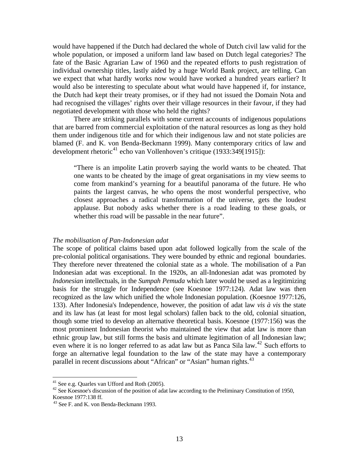would have happened if the Dutch had declared the whole of Dutch civil law valid for the whole population, or imposed a uniform land law based on Dutch legal categories? The fate of the Basic Agrarian Law of 1960 and the repeated efforts to push registration of individual ownership titles, lastly aided by a huge World Bank project, are telling. Can we expect that what hardly works now would have worked a hundred years earlier? It would also be interesting to speculate about what would have happened if, for instance, the Dutch had kept their treaty promises, or if they had not issued the Domain Nota and had recognised the villages' rights over their village resources in their favour, if they had negotiated development with those who held the rights?

There are striking parallels with some current accounts of indigenous populations that are barred from commercial exploitation of the natural resources as long as they hold them under indigenous title and for which their indigenous law and not state policies are blamed (F. and K. von Benda-Beckmann 1999). Many contemporary critics of law and development rhetoric<sup>[41](#page-12-0)</sup> echo van Vollenhoven's critique (1933:349[1915]):

"There is an impolite Latin proverb saying the world wants to be cheated. That one wants to be cheated by the image of great organisations in my view seems to come from mankind's yearning for a beautiful panorama of the future. He who paints the largest canvas, he who opens the most wonderful perspective, who closest approaches a radical transformation of the universe, gets the loudest applause. But nobody asks whether there is a road leading to these goals, or whether this road will be passable in the near future".

#### *The mobilisation of Pan-Indonesian adat*

The scope of political claims based upon adat followed logically from the scale of the pre-colonial political organisations. They were bounded by ethnic and regional boundaries. They therefore never threatened the colonial state as a whole. The mobilisation of a Pan Indonesian adat was exceptional. In the 1920s, an all-Indonesian adat was promoted by *Indonesian* intellectuals, in the *Sumpah Pemuda* which later would be used as a legitimizing basis for the struggle for Independence (see Koesnoe 1977:124). Adat law was then recognized as the law which unified the whole Indonesian population. (Koesnoe 1977:126, 133). After Indonesia's Independence, however, the position of adat law *vis à vis* the state and its law has (at least for most legal scholars) fallen back to the old, colonial situation, though some tried to develop an alternative theoretical basis. Koesnoe (1977:156) was the most prominent Indonesian theorist who maintained the view that adat law is more than ethnic group law, but still forms the basis and ultimate legitimation of all Indonesian law; even where it is no longer referred to as adat law but as Panca Sila law.<sup>[42](#page-12-1)</sup> Such efforts to forge an alternative legal foundation to the law of the state may have a contemporary parallel in recent discussions about "African" or "Asian" human rights.<sup>[43](#page-12-2)</sup>

<sup>41</sup> See e.g. Quarles van Ufford and Roth (2005).

<span id="page-12-1"></span><span id="page-12-0"></span> $42$  See Koesnoe's discussion of the position of adat law according to the Preliminary Constitution of 1950, Koesnoe 1977:138 ff.

<span id="page-12-2"></span> $43$  See F. and K. von Benda-Beckmann 1993.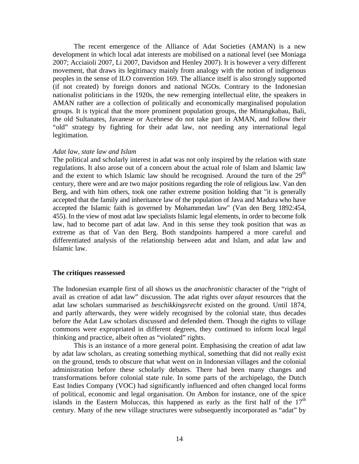The recent emergence of the Alliance of Adat Societies (AMAN) is a new development in which local adat interests are mobilised on a national level (see Moniaga 2007; Acciaioli 2007, Li 2007, Davidson and Henley 2007). It is however a very different movement, that draws its legitimacy mainly from analogy with the notion of indigenous peoples in the sense of ILO convention 169. The alliance itself is also strongly supported (if not created) by foreign donors and national NGOs. Contrary to the Indonesian nationalist politicians in the 1920s, the new remerging intellectual elite, the speakers in AMAN rather are a collection of politically and economically marginalised population groups. It is typical that the more prominent population groups, the Minangkabau, Bali, the old Sultanates, Javanese or Acehnese do not take part in AMAN, and follow their "old" strategy by fighting for their adat law, not needing any international legal legitimation.

# *Adat law, state law and Islam*

The political and scholarly interest in adat was not only inspired by the relation with state regulations. It also arose out of a concern about the actual role of Islam and Islamic law and the extent to which Islamic law should be recognised. Around the turn of the  $29<sup>th</sup>$ century, there were and are two major positions regarding the role of religious law. Van den Berg, and with him others, took one rather extreme position holding that "it is generally accepted that the family and inheritance law of the population of Java and Madura who have accepted the Islamic faith is governed by Mohammedan law" (Van den Berg 1892:454, 455). In the view of most adat law specialists Islamic legal elements, in order to become folk law, had to become part of adat law. And in this sense they took position that was as extreme as that of Van den Berg. Both standpoints hampered a more careful and differentiated analysis of the relationship between adat and Islam, and adat law and Islamic law.

# **The critiques reassessed**

The Indonesian example first of all shows us the *anachronistic* character of the "right of avail as creation of adat law" discussion. The adat rights over *ulayat* resources that the adat law scholars summarised as *beschikkingsrecht* existed on the ground. Until 1874, and partly afterwards, they were widely recognised by the colonial state, thus decades before the Adat Law scholars discussed and defended them. Though the rights to village commons were expropriated in different degrees, they continued to inform local legal thinking and practice, albeit often as "violated" rights.

 This is an instance of a more general point. Emphasising the creation of adat law by adat law scholars, as creating something mythical, something that did not really exist on the ground, tends to obscure that what went on in Indonesian villages and the colonial administration before these scholarly debates. There had been many changes and transformations before colonial state rule. In some parts of the archipelago, the Dutch East Indies Company (VOC) had significantly influenced and often changed local forms of political, economic and legal organisation. On Ambon for instance, one of the spice islands in the Eastern Moluccas, this happened as early as the first half of the  $17<sup>th</sup>$ century. Many of the new village structures were subsequently incorporated as "adat" by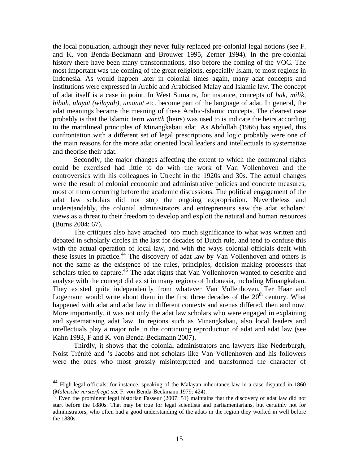the local population, although they never fully replaced pre-colonial legal notions (see F. and K. von Benda-Beckmann and Brouwer 1995, Zerner 1994). In the pre-colonial history there have been many transformations, also before the coming of the VOC. The most important was the coming of the great religions, especially Islam, to most regions in Indonesia. As would happen later in colonial times again, many adat concepts and institutions were expressed in Arabic and Arabicised Malay and Islamic law. The concept of adat itself is a case in point. In West Sumatra, for instance, concepts of *hak, milik, hibah, ulayat (wilayah), umanat* etc. become part of the language of adat. In general, the adat meanings became the meaning of these Arabic-Islamic concepts. The clearest case probably is that the Islamic term *warith* (heirs) was used to is indicate the heirs according to the matrilineal principles of Minangkabau adat. As Abdullah (1966) has argued, this confrontation with a different set of legal prescriptions and logic probably were one of the main reasons for the more adat oriented local leaders and intellectuals to systematize and theorise their adat.

 Secondly, the major changes affecting the extent to which the communal rights could be exercised had little to do with the work of Van Vollenhoven and the controversies with his colleagues in Utrecht in the 1920s and 30s. The actual changes were the result of colonial economic and administrative policies and concrete measures, most of them occurring before the academic discussions. The political engagement of the adat law scholars did not stop the ongoing expropriation. Nevertheless and understandably, the colonial administrators and entrepreneurs saw the adat scholars' views as a threat to their freedom to develop and exploit the natural and human resources (Burns 2004: 67).

 The critiques also have attached too much significance to what was written and debated in scholarly circles in the last for decades of Dutch rule, and tend to confuse this with the actual operation of local law, and with the ways colonial officials dealt with these issues in practice.<sup>[44](#page-14-0)</sup> The discovery of adat law by Van Vollenhoven and others is not the same as the existence of the rules, principles, decision making processes that scholars tried to capture.<sup>[45](#page-14-1)</sup> The adat rights that Van Vollenhoven wanted to describe and analyse with the concept did exist in many regions of Indonesia, including Minangkabau. They existed quite independently from whatever Van Vollenhoven, Ter Haar and Logemann would write about them in the first three decades of the  $20<sup>th</sup>$  century. What happened with adat and adat law in different contexts and arenas differed, then and now. More importantly, it was not only the adat law scholars who were engaged in explaining and systematising adat law. In regions such as Minangkabau, also local leaders and intellectuals play a major role in the continuing reproduction of adat and adat law (see Kahn 1993, F and K. von Benda-Beckmann 2007).

 Thirdly, it shows that the colonial administrators and lawyers like Nederburgh, Nolst Trénité and 's Jacobs and not scholars like Van Vollenhoven and his followers were the ones who most grossly misinterpreted and transformed the character of

<span id="page-14-0"></span> $44$  High legal officials, for instance, speaking of the Malayan inheritance law in a case disputed in 1860 (*Maleische versterfregt*) see F. von Benda-Beckmann 1979: 424). 45 Even the prominent legal historian Fasseur (2007: 51) maintains that the discovery of adat law did not

<span id="page-14-1"></span>start before the 1880s. That may be true for legal scientists and parliamentarians, but certainly not for administrators, who often had a good understanding of the adats in the region they worked in well before the 1880s.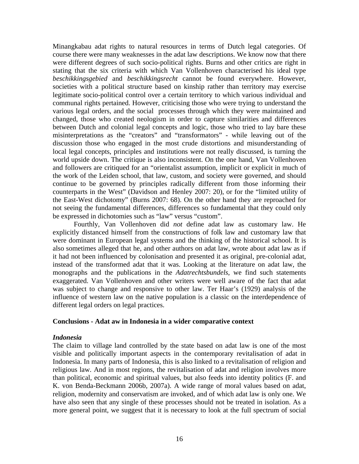Minangkabau adat rights to natural resources in terms of Dutch legal categories. Of course there were many weaknesses in the adat law descriptions. We know now that there were different degrees of such socio-political rights. Burns and other critics are right in stating that the six criteria with which Van Vollenhoven characterised his ideal type *beschikkingsgebied* and *beschikkingsrecht* cannot be found everywhere. However, societies with a political structure based on kinship rather than territory may exercise legitimate socio-political control over a certain territory to which various individual and communal rights pertained. However, criticising those who were trying to understand the various legal orders, and the social processes through which they were maintained and changed, those who created neologism in order to capture similarities and differences between Dutch and colonial legal concepts and logic, those who tried to lay bare these misinterpretations as the "creators" and "transformators" - while leaving out of the discussion those who engaged in the most crude distortions and misunderstanding of local legal concepts, principles and institutions were not really discussed, is turning the world upside down. The critique is also inconsistent. On the one hand, Van Vollenhoven and followers are critiqued for an "orientalist assumption, implicit or explicit in much of the work of the Leiden school, that law, custom, and society were governed, and should continue to be governed by principles radically different from those informing their counterparts in the West" (Davidson and Henley 2007: 20), or for the "limited utility of the East-West dichotomy" (Burns 2007: 68). On the other hand they are reproached for not seeing the fundamental differences, differences so fundamental that they could only be expressed in dichotomies such as "law" versus "custom".

 Fourthly, Van Vollenhoven did *not* define adat law as customary law. He explicitly distanced himself from the constructions of folk law and customary law that were dominant in European legal systems and the thinking of the historical school. It is also sometimes alleged that he, and other authors on adat law, wrote about adat law as if it had not been influenced by colonisation and presented it as original, pre-colonial adat, instead of the transformed adat that it was. Looking at the literature on adat law, the monographs and the publications in the *Adatrechtsbundels*, we find such statements exaggerated. Van Vollenhoven and other writers were well aware of the fact that adat was subject to change and responsive to other law. Ter Haar's (1929) analysis of the influence of western law on the native population is a classic on the interdependence of different legal orders on legal practices.

# **Conclusions - Adat aw in Indonesia in a wider comparative context**

# *Indonesia*

The claim to village land controlled by the state based on adat law is one of the most visible and politically important aspects in the contemporary revitalisation of adat in Indonesia. In many parts of Indonesia, this is also linked to a revitalisation of religion and religious law. And in most regions, the revitalisation of adat and religion involves more than political, economic and spiritual values, but also feeds into identity politics (F. and K. von Benda-Beckmann 2006b, 2007a). A wide range of moral values based on adat, religion, modernity and conservatism are invoked, and of which adat law is only one. We have also seen that any single of these processes should not be treated in isolation. As a more general point, we suggest that it is necessary to look at the full spectrum of social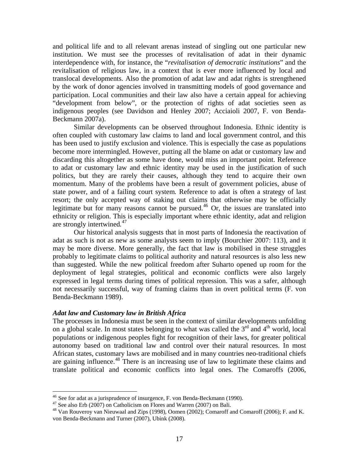and political life and to all relevant arenas instead of singling out one particular new institution. We must see the processes of revitalisation of adat in their dynamic interdependence with, for instance, the "*revitalisation of democratic institutions*" and the revitalisation of religious law, in a context that is ever more influenced by local and translocal developments. Also the promotion of adat law and adat rights is strengthened by the work of donor agencies involved in transmitting models of good governance and participation. Local communities and their law also have a certain appeal for achieving "development from below", or the protection of rights of adat societies seen as indigenous peoples (see Davidson and Henley 2007; Acciaioli 2007, F. von Benda-Beckmann 2007a).

 Similar developments can be observed throughout Indonesia. Ethnic identity is often coupled with customary law claims to land and local government control, and this has been used to justify exclusion and violence. This is especially the case as populations become more intermingled. However, putting all the blame on adat or customary law and discarding this altogether as some have done, would miss an important point. Reference to adat or customary law and ethnic identity may be used in the justification of such politics, but they are rarely their causes, although they tend to acquire their own momentum. Many of the problems have been a result of government policies, abuse of state power, and of a failing court system*.* Reference to adat is often a strategy of last resort; the only accepted way of staking out claims that otherwise may be officially legitimate but for many reasons cannot be pursued.<sup>[46](#page-16-0)</sup> Or, the issues are translated into ethnicity or religion. This is especially important where ethnic identity, adat and religion are strongly intertwined*.* [47](#page-16-1)

 Our historical analysis suggests that in most parts of Indonesia the reactivation of adat as such is not as new as some analysts seem to imply (Bourchier 2007: 113), and it may be more diverse. More generally, the fact that law is mobilised in these struggles probably to legitimate claims to political authority and natural resources is also less new than suggested. While the new political freedom after Suharto opened up room for the deployment of legal strategies, political and economic conflicts were also largely expressed in legal terms during times of political repression. This was a safer, although not necessarily successful, way of framing claims than in overt political terms (F. von Benda-Beckmann 1989).

# *Adat law and Customary law in British Africa*

The processes in Indonesia must be seen in the context of similar developments unfolding on a global scale. In most states belonging to what was called the  $3<sup>rd</sup>$  and  $4<sup>th</sup>$  world, local populations or indigenous peoples fight for recognition of their laws, for greater political autonomy based on traditional law and control over their natural resources. In most African states, customary laws are mobilised and in many countries neo-traditional chiefs are gaining influence.<sup>[48](#page-16-2)</sup> There is an increasing use of law to legitimate these claims and translate political and economic conflicts into legal ones. The Comaroffs (2006,

 $46$  See for adat as a jurisprudence of insurgence, F. von Benda-Beckmann (1990).

<span id="page-16-1"></span><span id="page-16-0"></span><sup>&</sup>lt;sup>47</sup> See also Erb (2007) on Catholicism on Flores and Warren (2007) on Bali.

<span id="page-16-2"></span><sup>&</sup>lt;sup>48</sup> Van Rouveroy van Nieuwaal and Zips (1998), Oomen (2002); Comaroff and Comaroff (2006); F. and K. von Benda-Beckmann and Turner (2007), Ubink (2008).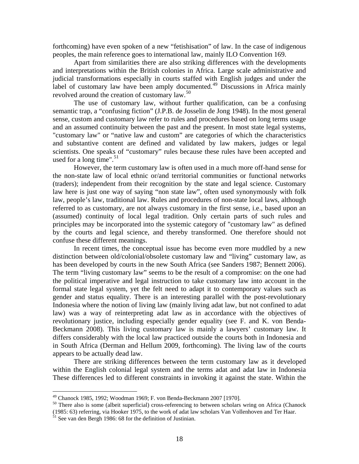forthcoming) have even spoken of a new "fetishisation" of law. In the case of indigenous peoples, the main reference goes to international law, mainly ILO Convention 169.

 Apart from similarities there are also striking differences with the developments and interpretations within the British colonies in Africa. Large scale administrative and judicial transformations especially in courts staffed with English judges and under the label of customary law have been amply documented.<sup>[49](#page-17-0)</sup> Discussions in Africa mainly revolved around the creation of customary law.<sup>[50](#page-17-1)</sup>

 The use of customary law, without further qualification, can be a confusing semantic trap, a "confusing fiction" (J.P.B. de Josselin de Jong 1948). In the most general sense, custom and customary law refer to rules and procedures based on long terms usage and an assumed continuity between the past and the present. In most state legal systems, "customary law" or "native law and custom" are categories of which the characteristics and substantive content are defined and validated by law makers, judges or legal scientists. One speaks of "customary" rules because these rules have been accepted and used for a long time".<sup>[51](#page-17-2)</sup>

 However, the term customary law is often used in a much more off-hand sense for the non-state law of local ethnic or/and territorial communities or functional networks (traders); independent from their recognition by the state and legal science. Customary law here is just one way of saying "non state law", often used synonymously with folk law, people's law, traditional law. Rules and procedures of non-state local laws, although referred to as customary, are not always customary in the first sense, i.e., based upon an (assumed) continuity of local legal tradition. Only certain parts of such rules and principles may be incorporated into the systemic category of "customary law" as defined by the courts and legal science, and thereby transformed. One therefore should not confuse these different meanings.

 In recent times, the conceptual issue has become even more muddled by a new distinction between old/colonial/obsolete customary law and "living" customary law, as has been developed by courts in the new South Africa (see Sanders 1987; Bennett 2006). The term "living customary law" seems to be the result of a compromise: on the one had the political imperative and legal instruction to take customary law into account in the formal state legal system, yet the felt need to adapt it to contemporary values such as gender and status equality. There is an interesting parallel with the post-revolutionary Indonesia where the notion of living law (mainly living adat law, but not confined to adat law) was a way of reinterpreting adat law as in accordance with the objectives of revolutionary justice, including especially gender equality (see F. and K. von Benda-Beckmann 2008). This living customary law is mainly a lawyers' customary law. It differs considerably with the local law practiced outside the courts both in Indonesia and in South Africa (Derman and Hellum 2009, forthcoming). The living law of the courts appears to be actually dead law.

 There are striking differences between the term customary law as it developed within the English colonial legal system and the terms adat and adat law in Indonesia These differences led to different constraints in invoking it against the state. Within the

<sup>49</sup> Chanock 1985, 1992; Woodman 1969; F. von Benda-Beckmann 2007 [1970].

<span id="page-17-1"></span><span id="page-17-0"></span><sup>&</sup>lt;sup>50</sup> There also is some (albeit superficial) cross-referencing to between scholars wring on Africa (Chanock (1985: 63) referring, via Hooker 1975, to the work of adat law scholars Van Vollenhoven and Ter Haar.

<span id="page-17-2"></span> $51$  See van den Bergh 1986: 68 for the definition of Justinian.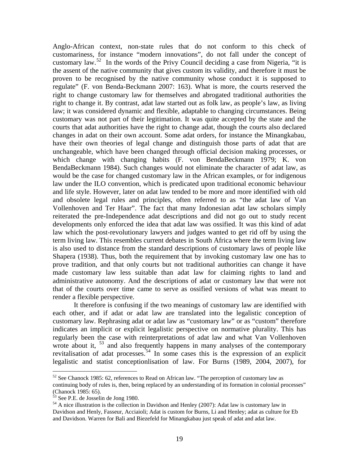Anglo-African context, non-state rules that do not conform to this check of customariness, for instance "modern innovations", do not fall under the concept of customary law.<sup>[52](#page-18-0)</sup> In the words of the Privy Council deciding a case from Nigeria, "it is the assent of the native community that gives custom its validity, and therefore it must be proven to be recognised by the native community whose conduct it is supposed to regulate" (F. von Benda-Beckmann 2007: 163). What is more, the courts reserved the right to change customary law for themselves and abrogated traditional authorities the right to change it. By contrast, adat law started out as folk law, as people's law, as living law; it was considered dynamic and flexible, adaptable to changing circumstances. Being customary was not part of their legitimation. It was quite accepted by the state and the courts that adat authorities have the right to change adat, though the courts also declared changes in adat on their own account. Some adat orders, for instance the Minangkabau, have their own theories of legal change and distinguish those parts of adat that are unchangeable, which have been changed through official decision making processes, or which change with changing habits (F. von BendaBeckmann 1979; K. von BendaBeckmann 1984). Such changes would not eliminate the character of adat law, as would be the case for changed customary law in the African examples, or for indigenous law under the ILO convention, which is predicated upon traditional economic behaviour and life style. However, later on adat law tended to be more and more identified with old and obsolete legal rules and principles, often referred to as "the adat law of Van Vollenhoven and Ter Haar". The fact that many Indonesian adat law scholars simply reiterated the pre-Independence adat descriptions and did not go out to study recent developments only enforced the idea that adat law was ossified. It was this kind of adat law which the post-revolutionary lawyers and judges wanted to get rid off by using the term living law. This resembles current debates in South Africa where the term living law is also used to distance from the standard descriptions of customary laws of people like Shapera (1938). Thus, both the requirement that by invoking customary law one has to prove tradition, and that only courts but not traditional authorities can change it have made customary law less suitable than adat law for claiming rights to land and administrative autonomy. And the descriptions of adat or customary law that were not that of the courts over time came to serve as ossified versions of what was meant to render a flexible perspective.

It therefore is confusing if the two meanings of customary law are identified with each other, and if adat or adat law are translated into the legalistic conception of customary law. Rephrasing adat or adat law as "customary law" or as "custom" therefore indicates an implicit or explicit legalistic perspective on normative plurality. This has regularly been the case with reinterpretations of adat law and what Van Vollenhoven wrote about it,  $53$  and also frequently happens in many analyses of the contemporary revitalisation of adat processes.<sup>[54](#page-18-2)</sup> In some cases this is the expression of an explicit legalistic and statist conceptionlisation of law. For Burns (1989, 2004, 2007), for

<span id="page-18-0"></span> $52$  See Chanock 1985: 62, references to Read on African law. "The perception of customary law as continuing body of rules is, then, being replaced by an understanding of its formation in colonial processes" (Chanock 1985: 65).

<span id="page-18-1"></span> $53$  See P.E. de Josselin de Jong 1980.

<span id="page-18-2"></span> $54$  A nice illustration is the collection in Davidson and Henley (2007): Adat law is customary law in Davidson and Henly, Fasseur, Acciaioli; Adat is custom for Burns, Li and Henley; adat as culture for Eb and Davidson. Warren for Bali and Biezefeld for Minangkabau just speak of adat and adat law.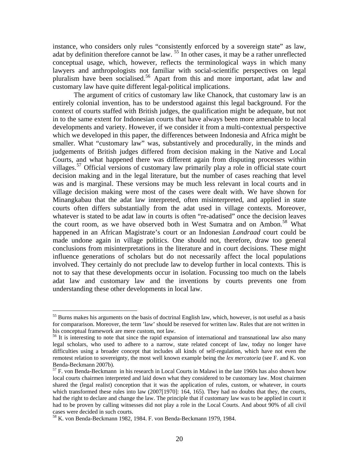instance, who considers only rules "consistently enforced by a sovereign state" as law, adat by definition therefore cannot be law. <sup>[55](#page-19-0)</sup> In other cases, it may be a rather unreflected conceptual usage, which, however, reflects the terminological ways in which many lawyers and anthropologists not familiar with social-scientific perspectives on legal pluralism have been socialised.[56](#page-19-1) Apart from this and more important, adat law and customary law have quite different legal-political implications.

 The argument of critics of customary law like Chanock, that customary law is an entirely colonial invention, has to be understood against this legal background. For the context of courts staffed with British judges, the qualification might be adequate, but not in to the same extent for Indonesian courts that have always been more amenable to local developments and variety. However, if we consider it from a multi-contextual perspective which we developed in this paper, the differences between Indonesia and Africa might be smaller. What "customary law" was, substantively and procedurally, in the minds and judgements of British judges differed from decision making in the Native and Local Courts, and what happened there was different again from disputing processes within villages.<sup>[57](#page-19-2)</sup> Official versions of customary law primarily play a role in official state court decision making and in the legal literature, but the number of cases reaching that level was and is marginal. These versions may be much less relevant in local courts and in village decision making were most of the cases were dealt with. We have shown for Minangkabau that the adat law interpreted, often misinterpreted, and applied in state courts often differs substantially from the adat used in village contexts. Moreover, whatever is stated to be adat law in courts is often "re-adatised" once the decision leaves the court room, as we have observed both in West Sumatra and on Ambon.<sup>[58](#page-19-3)</sup> What happened in an African Magistrate's court or an Indonesian *Landraad* court could be made undone again in village politics. One should not, therefore, draw too general conclusions from misinterpretations in the literature and in court decisions. These might influence generations of scholars but do not necessarily affect the local populations involved. They certainly do not preclude law to develop further in local contexts. This is not to say that these developments occur in isolation. Focussing too much on the labels adat law and customary law and the inventions by courts prevents one from understanding these other developments in local law.

<span id="page-19-0"></span><sup>&</sup>lt;sup>55</sup> Burns makes his arguments on the basis of doctrinal English law, which, however, is not useful as a basis for compararison. Moreover, the term 'law' should be reserved for written law. Rules that are not written in his conceptual framework are mere custom, not law.

<span id="page-19-1"></span><sup>&</sup>lt;sup>56</sup> It is interesting to note that since the rapid expansion of international and transnational law also many legal scholars, who used to adhere to a narrow, state related concept of law, today no longer have difficulties using a broader concept that includes all kinds of self-regulation, which have not even the remotest relation to sovereignty, the most well known example being the *lex mercatoria* (see F. and K. von Benda-Beckmann 2007b).

<span id="page-19-2"></span><sup>57</sup> F. von Benda-Beckmann in his research in Local Courts in Malawi in the late 1960s has also shown how local courts chairmen interpreted and laid down what they considered to be customary law. Most chairmen shared the (legal realist) conception that it was the application of rules, custom, or whatever, in courts which transformed these rules into law (2007[1970]: 164, 165). They had no doubts that they, the courts, had the right to declare and change the law. The principle that if customary law was to be applied in court it had to be proven by calling witnesses did not play a role in the Local Courts. And about 90% of all civil cases were decided in such courts.

<span id="page-19-3"></span><sup>58</sup> K. von Benda-Beckmann 1982, 1984. F. von Benda-Beckmann 1979, 1984.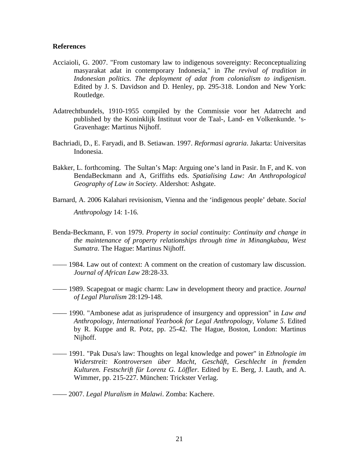# **References**

- Acciaioli, G. 2007. "From customary law to indigenous sovereignty: Reconceptualizing masyarakat adat in contemporary Indonesia," in *The revival of tradition in Indonesian politics. The deployment of adat from colonialism to indigenism*. Edited by J. S. Davidson and D. Henley, pp. 295-318. London and New York: Routledge.
- Adatrechtbundels, 1910-1955 compiled by the Commissie voor het Adatrecht and published by the Koninklijk Instituut voor de Taal-, Land- en Volkenkunde. 's-Gravenhage: Martinus Nijhoff.
- Bachriadi, D., E. Faryadi, and B. Setiawan. 1997. *Reformasi agraria*. Jakarta: Universitas Indonesia.
- Bakker, L. forthcoming. The Sultan's Map: Arguing one's land in Pasir. In F, and K. von BendaBeckmann and A, Griffiths eds. *Spatialising Law: An Anthropological Geography of Law in Society*. Aldershot: Ashgate.
- Barnard, A. 2006 Kalahari revisionism, Vienna and the 'indigenous people' debate. *Social Anthropology* 14: 1-16.
- Benda-Beckmann, F. von 1979. *Property in social continuity: Continuity and change in the maintenance of property relationships through time in Minangkabau, West Sumatra*. The Hague: Martinus Nijhoff.
- –––– 1984. Law out of context: A comment on the creation of customary law discussion. *Journal of African Law* 28:28-33.
- –––– 1989. Scapegoat or magic charm: Law in development theory and practice. *Journal of Legal Pluralism* 28:129-148.
- –––– 1990. "Ambonese adat as jurisprudence of insurgency and oppression" in *Law and Anthropology, International Yearbook for Legal Anthropology, Volume 5*. Edited by R. Kuppe and R. Potz, pp. 25-42. The Hague, Boston, London: Martinus Nijhoff.
- –––– 1991. "Pak Dusa's law: Thoughts on legal knowledge and power" in *Ethnologie im Widerstreit: Kontroversen über Macht, Geschäft, Geschlecht in fremden Kulturen. Festschrift für Lorenz G. Löffler*. Edited by E. Berg, J. Lauth, and A. Wimmer, pp. 215-227. München: Trickster Verlag.
- –––– 2007. *Legal Pluralism in Malawi*. Zomba: Kachere.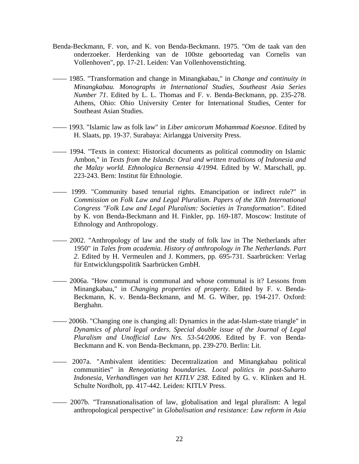- Benda-Beckmann, F. von, and K. von Benda-Beckmann. 1975. "Om de taak van den onderzoeker. Herdenking van de 100ste geboortedag van Cornelis van Vollenhoven", pp. 17-21. Leiden: Van Vollenhovenstichting.
- –––– 1985. "Transformation and change in Minangkabau," in *Change and continuity in Minangkabau. Monographs in International Studies, Southeast Asia Series Number 71*. Edited by L. L. Thomas and F. v. Benda-Beckmann, pp. 235-278. Athens, Ohio: Ohio University Center for International Studies, Center for Southeast Asian Studies.
- –––– 1993. "Islamic law as folk law" in *Liber amicorum Mohammad Koesnoe*. Edited by H. Slaats, pp. 19-37. Surabaya: Airlangga University Press.
- –––– 1994. "Texts in context: Historical documents as political commodity on Islamic Ambon," in *Texts from the Islands: Oral and written traditions of Indonesia and the Malay world. Ethnologica Bernensia 4/1994*. Edited by W. Marschall, pp. 223-243. Bern: Institut für Ethnologie.
- –––– 1999. "Community based tenurial rights. Emancipation or indirect rule?" in *Commission on Folk Law and Legal Pluralism. Papers of the XIth International Congress "Folk Law and Legal Pluralism: Societies in Transformation"*. Edited by K. von Benda-Beckmann and H. Finkler, pp. 169-187. Moscow: Institute of Ethnology and Anthropology.
- –––– 2002. "Anthropology of law and the study of folk law in The Netherlands after 1950" in *Tales from academia. History of anthropology in The Netherlands. Part 2*. Edited by H. Vermeulen and J. Kommers, pp. 695-731. Saarbrücken: Verlag für Entwicklungspolitik Saarbrücken GmbH.
- –––– 2006a. "How communal is communal and whose communal is it? Lessons from Minangkabau," in *Changing properties of property*. Edited by F. v. Benda-Beckmann, K. v. Benda-Beckmann, and M. G. Wiber, pp. 194-217. Oxford: Berghahn.
- –––– 2006b. "Changing one is changing all: Dynamics in the adat-Islam-state triangle" in *Dynamics of plural legal orders. Special double issue of the Journal of Legal Pluralism and Unofficial Law Nrs. 53-54/2006*. Edited by F. von Benda-Beckmann and K. von Benda-Beckmann, pp. 239-270. Berlin: Lit.
- –––– 2007a. "Ambivalent identities: Decentralization and Minangkabau political communities" in *Renegotiating boundaries. Local politics in post-Suharto Indonesia*, *Verhandlingen van het KITLV 238*. Edited by G. v. Klinken and H. Schulte Nordholt, pp. 417-442. Leiden: KITLV Press.
- –––– 2007b. "Transnationalisation of law, globalisation and legal pluralism: A legal anthropological perspective" in *Globalisation and resistance: Law reform in Asia*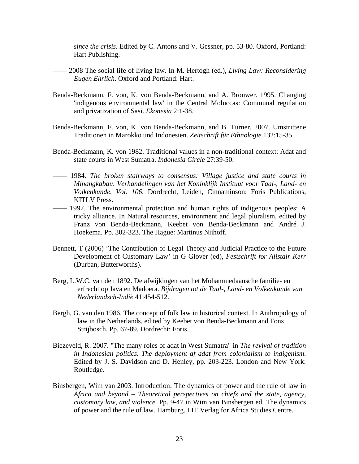*since the crisis*. Edited by C. Antons and V. Gessner, pp. 53-80. Oxford, Portland: Hart Publishing.

- –––– 2008 The social life of living law. In M. Hertogh (ed.), *Living Law: Reconsidering Eugen Ehrlich*. Oxford and Portland: Hart.
- Benda-Beckmann, F. von, K. von Benda-Beckmann, and A. Brouwer. 1995. Changing 'indigenous environmental law' in the Central Moluccas: Communal regulation and privatization of Sasi. *Ekonesia* 2:1-38.
- Benda-Beckmann, F. von, K. von Benda-Beckmann, and B. Turner. 2007. Umstrittene Traditionen in Marokko und Indonesien. *Zeitschrift für Ethnologie* 132:15-35.
- Benda-Beckmann, K. von 1982. Traditional values in a non-traditional context: Adat and state courts in West Sumatra. *Indonesia Circle* 27:39-50.
- –––– 1984. *The broken stairways to consensus: Village justice and state courts in Minangkabau*. *Verhandelingen van het Koninklijk Instituut voor Taal-, Land- en Volkenkunde. Vol. 106*. Dordrecht, Leiden, Cinnaminson: Foris Publications, KITLV Press.
- –––– 1997. The environmental protection and human rights of indigenous peoples: A tricky alliance. In Natural resources, environment and legal pluralism, edited by Franz von Benda-Beckmann, Keebet von Benda-Beckmann and André J. Hoekema. Pp. 302-323. The Hague: Martinus Nijhoff.
- Bennett, T (2006) 'The Contribution of Legal Theory and Judicial Practice to the Future Development of Customary Law' in G Glover (ed), *Festschrift for Alistair Kerr* (Durban, Butterworths).
- Berg, L.W.C. van den 1892. De afwijkingen van het Mohammedaansche familie- en erfrecht op Java en Madoera. *Bijdragen tot de Taal-, Land- en Volkenkunde van Nederlandsch-Indië* 41:454-512.
- Bergh, G. van den 1986. The concept of folk law in historical context. In Anthropology of law in the Netherlands, edited by Keebet von Benda-Beckmann and Fons Strijbosch. Pp. 67-89. Dordrecht: Foris.
- Biezeveld, R. 2007. "The many roles of adat in West Sumatra" in *The revival of tradition in Indonesian politics. The deployment af adat from colonialism to indigenism*. Edited by J. S. Davidson and D. Henley, pp. 203-223. London and New York: Routledge.
- Binsbergen, Wim van 2003. Introduction: The dynamics of power and the rule of law in *Africa and beyond – Theoretical perspectives on chiefs and the state, agency, customary law, and violence*. Pp. 9-47 in Wim van Binsbergen ed. The dynamics of power and the rule of law. Hamburg. LIT Verlag for Africa Studies Centre.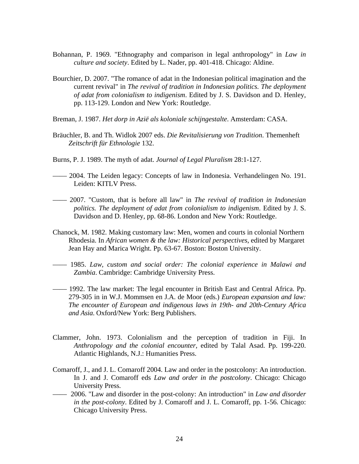- Bohannan, P. 1969. "Ethnography and comparison in legal anthropology" in *Law in culture and society*. Edited by L. Nader, pp. 401-418. Chicago: Aldine.
- Bourchier, D. 2007. "The romance of adat in the Indonesian political imagination and the current revival" in *The revival of tradition in Indonesian politics. The deployment of adat from colonialism to indigenism*. Edited by J. S. Davidson and D. Henley, pp. 113-129. London and New York: Routledge.
- Breman, J. 1987. *Het dorp in Azië als koloniale schijngestalte*. Amsterdam: CASA.
- Bräuchler, B. and Th. Widlok 2007 eds. *Die Revitalisierung von Tradition*. Themenheft *Zeitschrift für Ethnologie* 132.
- Burns, P. J. 1989. The myth of adat. *Journal of Legal Pluralism* 28:1-127.
- –––– 2004. The Leiden legacy: Concepts of law in Indonesia. Verhandelingen No. 191. Leiden: KITLV Press.
- –––– 2007. "Custom, that is before all law" in *The revival of tradition in Indonesian politics. The deployment of adat from colonialism to indigenism*. Edited by J. S. Davidson and D. Henley, pp. 68-86. London and New York: Routledge.
- Chanock, M. 1982. Making customary law: Men, women and courts in colonial Northern Rhodesia. In *African women & the law: Historical perspectives*, edited by Margaret Jean Hay and Marica Wright. Pp. 63-67. Boston: Boston University.
- –––– 1985. *Law, custom and social order: The colonial experience in Malawi and Zambia*. Cambridge: Cambridge University Press.
- –––– 1992. The law market: The legal encounter in British East and Central Africa. Pp. 279-305 in in W.J. Mommsen en J.A. de Moor (eds.) *European expansion and law: The encounter of European and indigenous laws in 19th- and 20th-Century Africa and Asia*. Oxford/New York: Berg Publishers.
- Clammer, John. 1973. Colonialism and the perception of tradition in Fiji. In *Anthropology and the colonial encounter*, edited by Talal Asad. Pp. 199-220. Atlantic Highlands, N.J.: Humanities Press.
- Comaroff, J., and J. L. Comaroff 2004. Law and order in the postcolony: An introduction. In J. and J. Comaroff eds *Law and order in the postcolony*. Chicago: Chicago University Press.
- –––– 2006. "Law and disorder in the post-colony: An introduction" in *Law and disorder in the post-colony*. Edited by J. Comaroff and J. L. Comaroff, pp. 1-56. Chicago: Chicago University Press.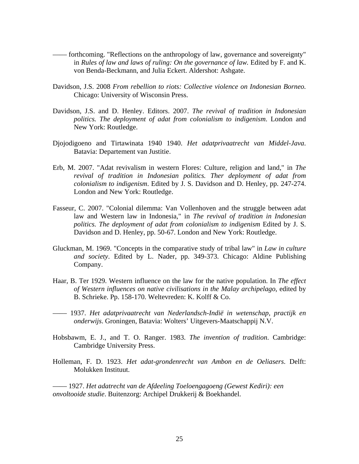- –––– forthcoming. "Reflections on the anthropology of law, governance and sovereignty" in *Rules of law and laws of ruling: On the governance of law.* Edited by F. and K. von Benda-Beckmann, and Julia Eckert. Aldershot: Ashgate.
- Davidson, J.S. 2008 *From rebellion to riots: Collective violence on Indonesian Borneo.* Chicago: University of Wisconsin Press.
- Davidson, J.S. and D. Henley. Editors. 2007. *The revival of tradition in Indonesian politics. The deployment of adat from colonialism to indigenism*. London and New York: Routledge.
- Djojodigoeno and Tirtawinata 1940 1940. *Het adatprivaatrecht van Middel-Java*. Batavia: Departement van Justitie.
- Erb, M. 2007. "Adat revivalism in western Flores: Culture, religion and land," in *The revival of tradition in Indonesian politics. Ther deployment of adat from colonialism to indigenism*. Edited by J. S. Davidson and D. Henley, pp. 247-274. London and New York: Routledge.
- Fasseur, C. 2007. "Colonial dilemma: Van Vollenhoven and the struggle between adat law and Western law in Indonesia," in *The revival of tradition in Indonesian politics. The deployment of adat from colonialism to indigenism* Edited by J. S. Davidson and D. Henley, pp. 50-67. London and New York: Routledge.
- Gluckman, M. 1969. "Concepts in the comparative study of tribal law" in *Law in culture and society*. Edited by L. Nader, pp. 349-373. Chicago: Aldine Publishing Company.
- Haar, B. Ter 1929. Western influence on the law for the native population. In *The effect of Western influences on native civilisations in the Malay archipelago*, edited by B. Schrieke. Pp. 158-170. Weltevreden: K. Kolff & Co.
- –––– 1937. *Het adatprivaatrecht van Nederlandsch-Indië in wetenschap, practijk en onderwijs*. Groningen, Batavia: Wolters' Uitgevers-Maatschappij N.V.
- Hobsbawm, E. J., and T. O. Ranger. 1983. *The invention of tradition*. Cambridge: Cambridge University Press.
- Holleman, F. D. 1923. *Het adat-grondenrecht van Ambon en de Oeliasers*. Delft: Molukken Instituut.

–––– 1927. *Het adatrecht van de Afdeeling Toeloengagoeng (Gewest Kediri): een onvoltooide studie*. Buitenzorg: Archipel Drukkerij & Boekhandel.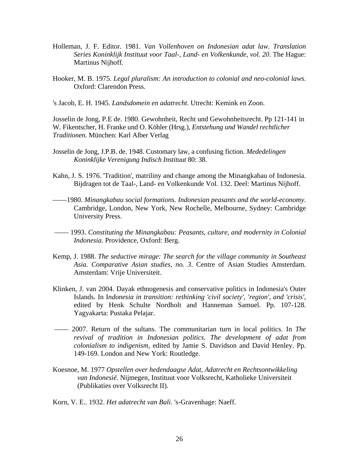- Holleman, J. F. Editor. 1981. *Van Vollenhoven on Indonesian adat law*. *Translation Series Koninklijk Instituut voor Taal-, Land- en Volkenkunde, vol. 20*. The Hague: Martinus Nijhoff.
- Hooker, M. B. 1975. *Legal pluralism: An introduction to colonial and neo-colonial laws*. Oxford: Clarendon Press.
- 's Jacob, E. H. 1945. *Landsdomein en adatrecht*. Utrecht: Kemink en Zoon.

Josselin de Jong, P.E de. 1980. Gewohnheit, Recht und Gewohnheitsrecht. Pp 121-141 in W. Fikentscher, H. Franke und O. Köhler (Hrsg.), *Entstehung und Wandel rechtlicher Traditionen.* München: Karl Alber Verlag

- Josselin de Jong, J.P.B. de. 1948. Customary law, a confusing fiction. *Mededelingen Koninklijke Verenigung Indisch Instituut* 80: 38.
- Kahn, J. S. 1976. 'Tradition', matriliny and change among the Minangkabau of Indonesia. Bijdragen tot de Taal-, Land- en Volkenkunde Vol. 132. Deel: Martinus Nijhoff.
- ––––1980. *Minangkabau social formations. Indonesian peasants and the world-economy*. Cambridge, London, New York, New Rochelle, Melbourne, Sydney: Cambridge University Press.
- –––– 1993. *Constituting the Minangkabau: Peasants, culture, and modernity in Colonial Indonesia*. Providence, Oxford: Berg.
- Kemp, J. 1988. *The seductive mirage: The search for the village community in Southeast Asia. Comparative Asian studies, no. 3*. Centre of Asian Studies Amsterdam. Amsterdam: Vrije Universiteit.
- Klinken, J. van 2004. Dayak ethnogenesis and conservative politics in Indonesia's Outer Islands. In I*ndonesia in transition: rethinking 'civil society', 'region', and 'crisis'*, edited by Henk Schulte Nordholt and Hanneman Samuel. Pp. 107-128. Yagyakarta: Pustaka Pelajar.
- –––– 2007. Return of the sultans. The communitarian turn in local politics. In *The revival of tradition in Indonesian politics. The development of adat from colonialism to indigenism*, edited by Jamie S. Davidson and David Henley. Pp. 149-169. London and New York: Routledge.
- Koesnoe, M. 1977 *Opstellen over hedendaagse Adat, Adatrecht en Rechtsontwikkeling van Indonesië*. Nijmegen, Instituut voor Volksrecht, Katholieke Universiteit (Publikaties over Volksrecht II).
- Korn, V. E.. 1932. *Het adatrecht van Bali*. 's-Gravenhage: Naeff.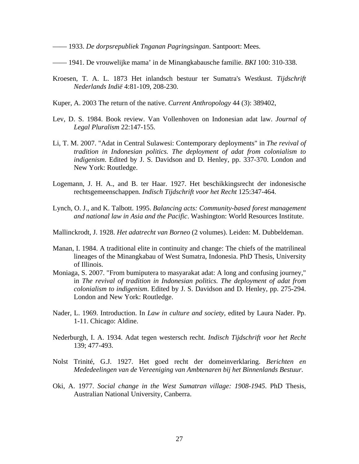–––– 1933. *De dorpsrepubliek Tnganan Pagringsingan*. Santpoort: Mees.

- –––– 1941. De vrouwelijke mama' in de Minangkabausche familie. *BKI* 100: 310-338.
- Kroesen, T. A. L. 1873 Het inlandsch bestuur ter Sumatra's Westkust. *Tijdschrift Nederlands Indië* 4:81-109, 208-230.
- Kuper, A. 2003 The return of the native. *Current Anthropology* 44 (3): 389402,
- Lev, D. S. 1984. Book review. Van Vollenhoven on Indonesian adat law. *Journal of Legal Pluralism* 22:147-155.
- Li, T. M. 2007. "Adat in Central Sulawesi: Contemporary deployments" in *The revival of tradition in Indonesian politics. The deployment of adat from colonialism to indigenism*. Edited by J. S. Davidson and D. Henley, pp. 337-370. London and New York: Routledge.
- Logemann, J. H. A., and B. ter Haar. 1927. Het beschikkingsrecht der indonesische rechtsgemeenschappen. *Indisch Tijdschrift voor het Recht* 125:347-464.
- Lynch, O. J., and K. Talbott. 1995. *Balancing acts: Community-based forest management and national law in Asia and the Pacific*. Washington: World Resources Institute.
- Mallinckrodt, J. 1928. *Het adatrecht van Borneo* (2 volumes). Leiden: M. Dubbeldeman.
- Manan, I. 1984. A traditional elite in continuity and change: The chiefs of the matrilineal lineages of the Minangkabau of West Sumatra, Indonesia. PhD Thesis, University of Illinois.
- Moniaga, S. 2007. "From bumiputera to masyarakat adat: A long and confusing journey," in *The revival of tradition in Indonesian politics. The deployment of adat from colonialism to indigenism*. Edited by J. S. Davidson and D. Henley, pp. 275-294. London and New York: Routledge.
- Nader, L. 1969. Introduction. In *Law in culture and society*, edited by Laura Nader. Pp. 1-11. Chicago: Aldine.
- Nederburgh, I. A. 1934. Adat tegen westersch recht. *Indisch Tijdschrift voor het Recht*  139; 477-493.
- Nolst Trinité, G.J. 1927. Het goed recht der domeinverklaring. *Berichten en Mededeelingen van de Vereeniging van Ambtenaren bij het Binnenlands Bestuur*.
- Oki, A. 1977. *Social change in the West Sumatran village: 1908-1945*. PhD Thesis, Australian National University, Canberra.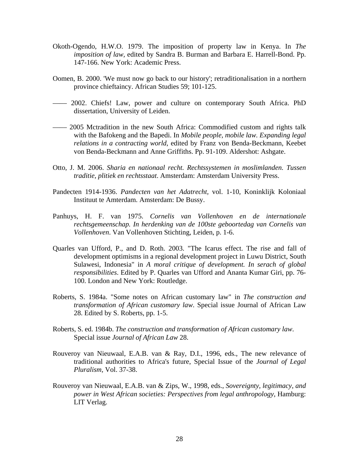- Okoth-Ogendo, H.W.O. 1979. The imposition of property law in Kenya. In *The imposition of law,* edited by Sandra B. Burman and Barbara E. Harrell-Bond. Pp. 147-166. New York: Academic Press.
- Oomen, B. 2000. 'We must now go back to our history'; retraditionalisation in a northern province chieftaincy. African Studies 59; 101-125.
- –––– 2002. Chiefs! Law, power and culture on contemporary South Africa. PhD dissertation, University of Leiden.
- –––– 2005 Mctradition in the new South Africa: Commodified custom and rights talk with the Bafokeng and the Bapedi. In *Mobile people, mobile law. Expanding legal relations in a contracting world*, edited by Franz von Benda-Beckmann, Keebet von Benda-Beckmann and Anne Griffiths. Pp. 91-109. Aldershot: Ashgate.
- Otto, J. M. 2006. *Sharia en nationaal recht. Rechtssystemen in moslimlanden. Tussen traditie, plitiek en rechtsstaat*. Amsterdam: Amsterdam University Press.
- Pandecten 1914-1936. *Pandecten van het Adatrecht,* vol. 1-10, Koninklijk Koloniaal Instituut te Amterdam. Amsterdam: De Bussy.
- Panhuys, H. F. van 1975. *Cornelis van Vollenhoven en de internationale rechtsgemeenschap. In herdenking van de 100ste geboortedag van Cornelis van Vollenhoven*. Van Vollenhoven Stichting, Leiden, p. 1-6.
- Quarles van Ufford, P., and D. Roth. 2003. "The Icarus effect. The rise and fall of development optimisms in a regional development project in Luwu District, South Sulawesi, Indonesia" in *A moral critique of development. In serach of global responsibilities*. Edited by P. Quarles van Ufford and Ananta Kumar Giri, pp. 76- 100. London and New York: Routledge.
- Roberts, S. 1984a. "Some notes on African customary law" in *The construction and transformation of African customary law*. Special issue Journal of African Law 28. Edited by S. Roberts, pp. 1-5.
- Roberts, S. ed. 1984b. *The construction and transformation of African customary law*. Special issue *Journal of African Law* 28.
- Rouveroy van Nieuwaal, E.A.B. van & Ray, D.I., 1996, eds., The new relevance of traditional authorities to Africa's future, Special Issue of the *Journal of Legal Pluralism,* Vol. 37-38.
- Rouveroy van Nieuwaal, E.A.B. van & Zips, W., 1998, eds., *Sovereignty, legitimacy, and power in West African societies: Perspectives from legal anthropology*, Hamburg: LIT Verlag.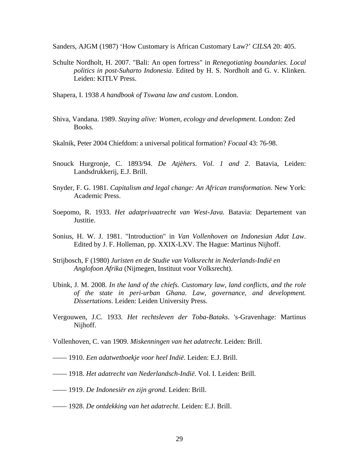Sanders, AJGM (1987) 'How Customary is African Customary Law?' *CILSA* 20: 405.

- Schulte Nordholt, H. 2007. "Bali: An open fortress" in *Renegotiating boundaries. Local politics in post-Suharto Indonesia*. Edited by H. S. Nordholt and G. v. Klinken. Leiden: KITLV Press.
- Shapera, I. 1938 *A handbook of Tswana law and custom*. London.
- Shiva, Vandana. 1989. *Staying alive: Women, ecology and development*. London: Zed Books.
- Skalnik, Peter 2004 Chiefdom: a universal political formation? *Focaal* 43: 76-98.
- Snouck Hurgronje, C. 1893/94. *De Atjèhers. Vol. 1 and 2*. Batavia, Leiden: Landsdrukkerij, E.J. Brill.
- Snyder, F. G. 1981. *Capitalism and legal change: An African transformation*. New York: Academic Press.
- Soepomo, R. 1933. *Het adatprivaatrecht van West-Java.* Batavia: Departement van Justitie.
- Sonius, H. W. J. 1981. "Introduction" in *Van Vollenhoven on Indonesian Adat Law*. Edited by J. F. Holleman, pp. XXIX-LXV. The Hague: Martinus Nijhoff.
- Strijbosch, F (1980) *Juristen en de Studie van Volksrecht in Nederlands-Indië en Anglofoon Afrika* (Nijmegen, Instituut voor Volksrecht).
- Ubink, J. M. 2008. *In the land of the chiefs. Customary law, land conflicts, and the role of the state in peri-urban Ghana*. *Law, governance, and development. Dissertations*. Leiden: Leiden University Press.
- Vergouwen, J.C. 1933. *Het rechtsleven der Toba-Bataks*. 's-Gravenhage: Martinus Nijhoff.
- Vollenhoven, C. van 1909. *Miskenningen van het adatrecht*. Leiden: Brill.
- –––– 1910. *Een adatwetboekje voor heel Indië*. Leiden: E.J. Brill.
- –––– 1918. *Het adatrecht van Nederlandsch-Indië*. Vol. I. Leiden: Brill.
- –––– 1919. *De Indonesiër en zijn grond*. Leiden: Brill.
- –––– 1928. *De ontdekking van het adatrecht*. Leiden: E.J. Brill.